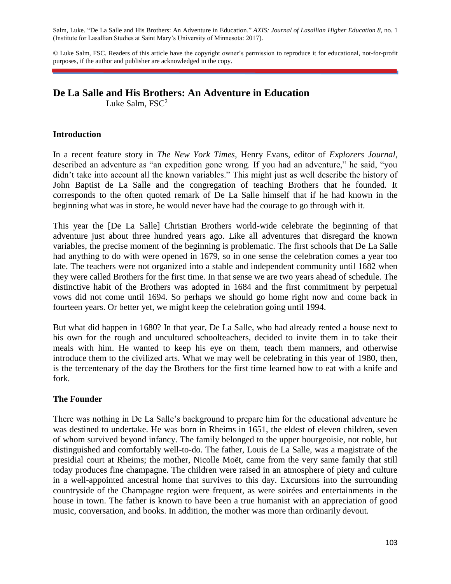Salm, Luke. "De La Salle and His Brothers: An Adventure in Education." *AXIS: Journal of Lasallian Higher Education 8*, no. 1 (Institute for Lasallian Studies at Saint Mary's University of Minnesota: 2017).

© Luke Salm, FSC. Readers of this article have the copyright owner's permission to reproduce it for educational, not-for-profit purposes, if the author and publisher are acknowledged in the copy.

# **De La Salle and His Brothers: An Adventure in Education**

Luke Salm,  $FSC^2$ 

### **Introduction**

In a recent feature story in *The New York Times*, Henry Evans, editor of *Explorers Journal*, described an adventure as "an expedition gone wrong. If you had an adventure," he said, "you didn't take into account all the known variables." This might just as well describe the history of John Baptist de La Salle and the congregation of teaching Brothers that he founded. It corresponds to the often quoted remark of De La Salle himself that if he had known in the beginning what was in store, he would never have had the courage to go through with it.

This year the [De La Salle] Christian Brothers world-wide celebrate the beginning of that adventure just about three hundred years ago. Like all adventures that disregard the known variables, the precise moment of the beginning is problematic. The first schools that De La Salle had anything to do with were opened in 1679, so in one sense the celebration comes a year too late. The teachers were not organized into a stable and independent community until 1682 when they were called Brothers for the first time. In that sense we are two years ahead of schedule. The distinctive habit of the Brothers was adopted in 1684 and the first commitment by perpetual vows did not come until 1694. So perhaps we should go home right now and come back in fourteen years. Or better yet, we might keep the celebration going until 1994.

But what did happen in 1680? In that year, De La Salle, who had already rented a house next to his own for the rough and uncultured schoolteachers, decided to invite them in to take their meals with him. He wanted to keep his eye on them, teach them manners, and otherwise introduce them to the civilized arts. What we may well be celebrating in this year of 1980, then, is the tercentenary of the day the Brothers for the first time learned how to eat with a knife and fork.

#### **The Founder**

There was nothing in De La Salle's background to prepare him for the educational adventure he was destined to undertake. He was born in Rheims in 1651, the eldest of eleven children, seven of whom survived beyond infancy. The family belonged to the upper bourgeoisie, not noble, but distinguished and comfortably well-to-do. The father, Louis de La Salle, was a magistrate of the presidial court at Rheims; the mother, Nicolle Moët, came from the very same family that still today produces fine champagne. The children were raised in an atmosphere of piety and culture in a well-appointed ancestral home that survives to this day. Excursions into the surrounding countryside of the Champagne region were frequent, as were soirées and entertainments in the house in town. The father is known to have been a true humanist with an appreciation of good music, conversation, and books. In addition, the mother was more than ordinarily devout.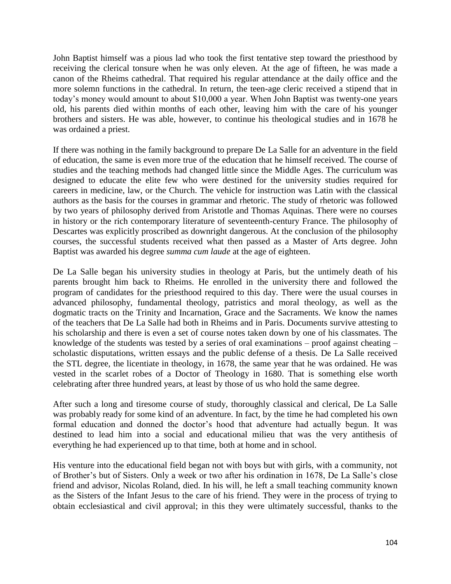John Baptist himself was a pious lad who took the first tentative step toward the priesthood by receiving the clerical tonsure when he was only eleven. At the age of fifteen, he was made a canon of the Rheims cathedral. That required his regular attendance at the daily office and the more solemn functions in the cathedral. In return, the teen-age cleric received a stipend that in today's money would amount to about \$10,000 a year. When John Baptist was twenty-one years old, his parents died within months of each other, leaving him with the care of his younger brothers and sisters. He was able, however, to continue his theological studies and in 1678 he was ordained a priest.

If there was nothing in the family background to prepare De La Salle for an adventure in the field of education, the same is even more true of the education that he himself received. The course of studies and the teaching methods had changed little since the Middle Ages. The curriculum was designed to educate the elite few who were destined for the university studies required for careers in medicine, law, or the Church. The vehicle for instruction was Latin with the classical authors as the basis for the courses in grammar and rhetoric. The study of rhetoric was followed by two years of philosophy derived from Aristotle and Thomas Aquinas. There were no courses in history or the rich contemporary literature of seventeenth-century France. The philosophy of Descartes was explicitly proscribed as downright dangerous. At the conclusion of the philosophy courses, the successful students received what then passed as a Master of Arts degree. John Baptist was awarded his degree *summa cum laude* at the age of eighteen.

De La Salle began his university studies in theology at Paris, but the untimely death of his parents brought him back to Rheims. He enrolled in the university there and followed the program of candidates for the priesthood required to this day. There were the usual courses in advanced philosophy, fundamental theology, patristics and moral theology, as well as the dogmatic tracts on the Trinity and Incarnation, Grace and the Sacraments. We know the names of the teachers that De La Salle had both in Rheims and in Paris. Documents survive attesting to his scholarship and there is even a set of course notes taken down by one of his classmates. The knowledge of the students was tested by a series of oral examinations – proof against cheating – scholastic disputations, written essays and the public defense of a thesis. De La Salle received the STL degree, the licentiate in theology, in 1678, the same year that he was ordained. He was vested in the scarlet robes of a Doctor of Theology in 1680. That is something else worth celebrating after three hundred years, at least by those of us who hold the same degree.

After such a long and tiresome course of study, thoroughly classical and clerical, De La Salle was probably ready for some kind of an adventure. In fact, by the time he had completed his own formal education and donned the doctor's hood that adventure had actually begun. It was destined to lead him into a social and educational milieu that was the very antithesis of everything he had experienced up to that time, both at home and in school.

His venture into the educational field began not with boys but with girls, with a community, not of Brother's but of Sisters. Only a week or two after his ordination in 1678, De La Salle's close friend and advisor, Nicolas Roland, died. In his will, he left a small teaching community known as the Sisters of the Infant Jesus to the care of his friend. They were in the process of trying to obtain ecclesiastical and civil approval; in this they were ultimately successful, thanks to the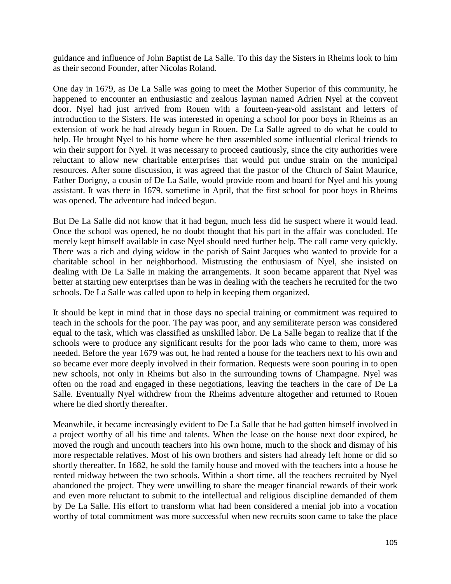guidance and influence of John Baptist de La Salle. To this day the Sisters in Rheims look to him as their second Founder, after Nicolas Roland.

One day in 1679, as De La Salle was going to meet the Mother Superior of this community, he happened to encounter an enthusiastic and zealous layman named Adrien Nyel at the convent door. Nyel had just arrived from Rouen with a fourteen-year-old assistant and letters of introduction to the Sisters. He was interested in opening a school for poor boys in Rheims as an extension of work he had already begun in Rouen. De La Salle agreed to do what he could to help. He brought Nyel to his home where he then assembled some influential clerical friends to win their support for Nyel. It was necessary to proceed cautiously, since the city authorities were reluctant to allow new charitable enterprises that would put undue strain on the municipal resources. After some discussion, it was agreed that the pastor of the Church of Saint Maurice, Father Dorigny, a cousin of De La Salle, would provide room and board for Nyel and his young assistant. It was there in 1679, sometime in April, that the first school for poor boys in Rheims was opened. The adventure had indeed begun.

But De La Salle did not know that it had begun, much less did he suspect where it would lead. Once the school was opened, he no doubt thought that his part in the affair was concluded. He merely kept himself available in case Nyel should need further help. The call came very quickly. There was a rich and dying widow in the parish of Saint Jacques who wanted to provide for a charitable school in her neighborhood. Mistrusting the enthusiasm of Nyel, she insisted on dealing with De La Salle in making the arrangements. It soon became apparent that Nyel was better at starting new enterprises than he was in dealing with the teachers he recruited for the two schools. De La Salle was called upon to help in keeping them organized.

It should be kept in mind that in those days no special training or commitment was required to teach in the schools for the poor. The pay was poor, and any semiliterate person was considered equal to the task, which was classified as unskilled labor. De La Salle began to realize that if the schools were to produce any significant results for the poor lads who came to them, more was needed. Before the year 1679 was out, he had rented a house for the teachers next to his own and so became ever more deeply involved in their formation. Requests were soon pouring in to open new schools, not only in Rheims but also in the surrounding towns of Champagne. Nyel was often on the road and engaged in these negotiations, leaving the teachers in the care of De La Salle. Eventually Nyel withdrew from the Rheims adventure altogether and returned to Rouen where he died shortly thereafter.

Meanwhile, it became increasingly evident to De La Salle that he had gotten himself involved in a project worthy of all his time and talents. When the lease on the house next door expired, he moved the rough and uncouth teachers into his own home, much to the shock and dismay of his more respectable relatives. Most of his own brothers and sisters had already left home or did so shortly thereafter. In 1682, he sold the family house and moved with the teachers into a house he rented midway between the two schools. Within a short time, all the teachers recruited by Nyel abandoned the project. They were unwilling to share the meager financial rewards of their work and even more reluctant to submit to the intellectual and religious discipline demanded of them by De La Salle. His effort to transform what had been considered a menial job into a vocation worthy of total commitment was more successful when new recruits soon came to take the place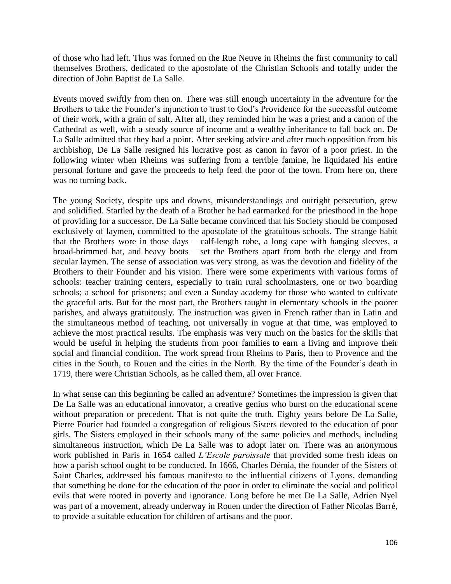of those who had left. Thus was formed on the Rue Neuve in Rheims the first community to call themselves Brothers, dedicated to the apostolate of the Christian Schools and totally under the direction of John Baptist de La Salle.

Events moved swiftly from then on. There was still enough uncertainty in the adventure for the Brothers to take the Founder's injunction to trust to God's Providence for the successful outcome of their work, with a grain of salt. After all, they reminded him he was a priest and a canon of the Cathedral as well, with a steady source of income and a wealthy inheritance to fall back on. De La Salle admitted that they had a point. After seeking advice and after much opposition from his archbishop, De La Salle resigned his lucrative post as canon in favor of a poor priest. In the following winter when Rheims was suffering from a terrible famine, he liquidated his entire personal fortune and gave the proceeds to help feed the poor of the town. From here on, there was no turning back.

The young Society, despite ups and downs, misunderstandings and outright persecution, grew and solidified. Startled by the death of a Brother he had earmarked for the priesthood in the hope of providing for a successor, De La Salle became convinced that his Society should be composed exclusively of laymen, committed to the apostolate of the gratuitous schools. The strange habit that the Brothers wore in those days – calf-length robe, a long cape with hanging sleeves, a broad-brimmed hat, and heavy boots – set the Brothers apart from both the clergy and from secular laymen. The sense of association was very strong, as was the devotion and fidelity of the Brothers to their Founder and his vision. There were some experiments with various forms of schools: teacher training centers, especially to train rural schoolmasters, one or two boarding schools; a school for prisoners; and even a Sunday academy for those who wanted to cultivate the graceful arts. But for the most part, the Brothers taught in elementary schools in the poorer parishes, and always gratuitously. The instruction was given in French rather than in Latin and the simultaneous method of teaching, not universally in vogue at that time, was employed to achieve the most practical results. The emphasis was very much on the basics for the skills that would be useful in helping the students from poor families to earn a living and improve their social and financial condition. The work spread from Rheims to Paris, then to Provence and the cities in the South, to Rouen and the cities in the North. By the time of the Founder's death in 1719, there were Christian Schools, as he called them, all over France.

In what sense can this beginning be called an adventure? Sometimes the impression is given that De La Salle was an educational innovator, a creative genius who burst on the educational scene without preparation or precedent. That is not quite the truth. Eighty years before De La Salle, Pierre Fourier had founded a congregation of religious Sisters devoted to the education of poor girls. The Sisters employed in their schools many of the same policies and methods, including simultaneous instruction, which De La Salle was to adopt later on. There was an anonymous work published in Paris in 1654 called *L'Escole paroissale* that provided some fresh ideas on how a parish school ought to be conducted. In 1666, Charles Démia, the founder of the Sisters of Saint Charles, addressed his famous manifesto to the influential citizens of Lyons, demanding that something be done for the education of the poor in order to eliminate the social and political evils that were rooted in poverty and ignorance. Long before he met De La Salle, Adrien Nyel was part of a movement, already underway in Rouen under the direction of Father Nicolas Barré, to provide a suitable education for children of artisans and the poor.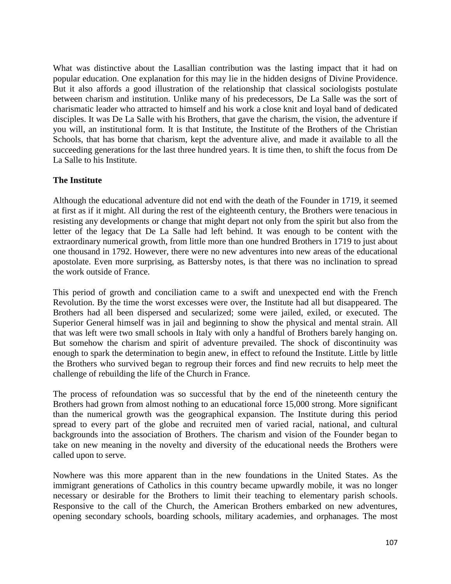What was distinctive about the Lasallian contribution was the lasting impact that it had on popular education. One explanation for this may lie in the hidden designs of Divine Providence. But it also affords a good illustration of the relationship that classical sociologists postulate between charism and institution. Unlike many of his predecessors, De La Salle was the sort of charismatic leader who attracted to himself and his work a close knit and loyal band of dedicated disciples. It was De La Salle with his Brothers, that gave the charism, the vision, the adventure if you will, an institutional form. It is that Institute, the Institute of the Brothers of the Christian Schools, that has borne that charism, kept the adventure alive, and made it available to all the succeeding generations for the last three hundred years. It is time then, to shift the focus from De La Salle to his Institute.

#### **The Institute**

Although the educational adventure did not end with the death of the Founder in 1719, it seemed at first as if it might. All during the rest of the eighteenth century, the Brothers were tenacious in resisting any developments or change that might depart not only from the spirit but also from the letter of the legacy that De La Salle had left behind. It was enough to be content with the extraordinary numerical growth, from little more than one hundred Brothers in 1719 to just about one thousand in 1792. However, there were no new adventures into new areas of the educational apostolate. Even more surprising, as Battersby notes, is that there was no inclination to spread the work outside of France.

This period of growth and conciliation came to a swift and unexpected end with the French Revolution. By the time the worst excesses were over, the Institute had all but disappeared. The Brothers had all been dispersed and secularized; some were jailed, exiled, or executed. The Superior General himself was in jail and beginning to show the physical and mental strain. All that was left were two small schools in Italy with only a handful of Brothers barely hanging on. But somehow the charism and spirit of adventure prevailed. The shock of discontinuity was enough to spark the determination to begin anew, in effect to refound the Institute. Little by little the Brothers who survived began to regroup their forces and find new recruits to help meet the challenge of rebuilding the life of the Church in France.

The process of refoundation was so successful that by the end of the nineteenth century the Brothers had grown from almost nothing to an educational force 15,000 strong. More significant than the numerical growth was the geographical expansion. The Institute during this period spread to every part of the globe and recruited men of varied racial, national, and cultural backgrounds into the association of Brothers. The charism and vision of the Founder began to take on new meaning in the novelty and diversity of the educational needs the Brothers were called upon to serve.

Nowhere was this more apparent than in the new foundations in the United States. As the immigrant generations of Catholics in this country became upwardly mobile, it was no longer necessary or desirable for the Brothers to limit their teaching to elementary parish schools. Responsive to the call of the Church, the American Brothers embarked on new adventures, opening secondary schools, boarding schools, military academies, and orphanages. The most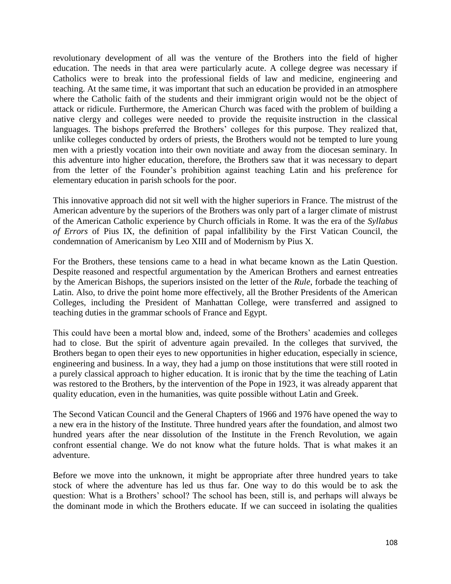revolutionary development of all was the venture of the Brothers into the field of higher education. The needs in that area were particularly acute. A college degree was necessary if Catholics were to break into the professional fields of law and medicine, engineering and teaching. At the same time, it was important that such an education be provided in an atmosphere where the Catholic faith of the students and their immigrant origin would not be the object of attack or ridicule. Furthermore, the American Church was faced with the problem of building a native clergy and colleges were needed to provide the requisite instruction in the classical languages. The bishops preferred the Brothers' colleges for this purpose. They realized that, unlike colleges conducted by orders of priests, the Brothers would not be tempted to lure young men with a priestly vocation into their own novitiate and away from the diocesan seminary. In this adventure into higher education, therefore, the Brothers saw that it was necessary to depart from the letter of the Founder's prohibition against teaching Latin and his preference for elementary education in parish schools for the poor.

This innovative approach did not sit well with the higher superiors in France. The mistrust of the American adventure by the superiors of the Brothers was only part of a larger climate of mistrust of the American Catholic experience by Church officials in Rome. It was the era of the *Syllabus of Errors* of Pius IX, the definition of papal infallibility by the First Vatican Council, the condemnation of Americanism by Leo XIII and of Modernism by Pius X.

For the Brothers, these tensions came to a head in what became known as the Latin Question. Despite reasoned and respectful argumentation by the American Brothers and earnest entreaties by the American Bishops, the superiors insisted on the letter of the *Rule*, forbade the teaching of Latin. Also, to drive the point home more effectively, all the Brother Presidents of the American Colleges, including the President of Manhattan College, were transferred and assigned to teaching duties in the grammar schools of France and Egypt.

This could have been a mortal blow and, indeed, some of the Brothers' academies and colleges had to close. But the spirit of adventure again prevailed. In the colleges that survived, the Brothers began to open their eyes to new opportunities in higher education, especially in science, engineering and business. In a way, they had a jump on those institutions that were still rooted in a purely classical approach to higher education. It is ironic that by the time the teaching of Latin was restored to the Brothers, by the intervention of the Pope in 1923, it was already apparent that quality education, even in the humanities, was quite possible without Latin and Greek.

The Second Vatican Council and the General Chapters of 1966 and 1976 have opened the way to a new era in the history of the Institute. Three hundred years after the foundation, and almost two hundred years after the near dissolution of the Institute in the French Revolution, we again confront essential change. We do not know what the future holds. That is what makes it an adventure.

Before we move into the unknown, it might be appropriate after three hundred years to take stock of where the adventure has led us thus far. One way to do this would be to ask the question: What is a Brothers' school? The school has been, still is, and perhaps will always be the dominant mode in which the Brothers educate. If we can succeed in isolating the qualities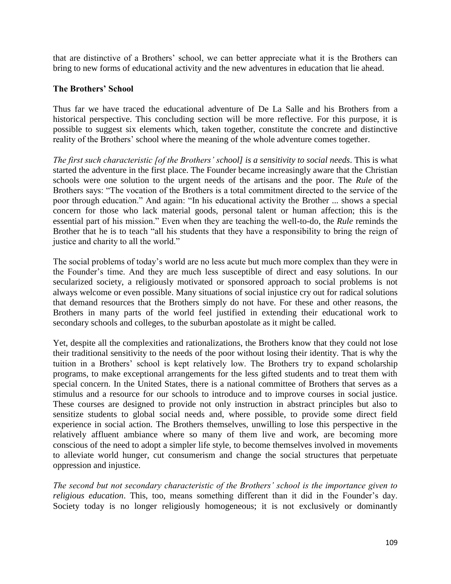that are distinctive of a Brothers' school, we can better appreciate what it is the Brothers can bring to new forms of educational activity and the new adventures in education that lie ahead.

#### **The Brothers' School**

Thus far we have traced the educational adventure of De La Salle and his Brothers from a historical perspective. This concluding section will be more reflective. For this purpose, it is possible to suggest six elements which, taken together, constitute the concrete and distinctive reality of the Brothers' school where the meaning of the whole adventure comes together.

*The first such characteristic [of the Brothers' school] is a sensitivity to social needs*. This is what started the adventure in the first place. The Founder became increasingly aware that the Christian schools were one solution to the urgent needs of the artisans and the poor. The *Rule* of the Brothers says: "The vocation of the Brothers is a total commitment directed to the service of the poor through education." And again: "In his educational activity the Brother ... shows a special concern for those who lack material goods, personal talent or human affection; this is the essential part of his mission." Even when they are teaching the well-to-do, the *Rule* reminds the Brother that he is to teach "all his students that they have a responsibility to bring the reign of justice and charity to all the world."

The social problems of today's world are no less acute but much more complex than they were in the Founder's time. And they are much less susceptible of direct and easy solutions. In our secularized society, a religiously motivated or sponsored approach to social problems is not always welcome or even possible. Many situations of social injustice cry out for radical solutions that demand resources that the Brothers simply do not have. For these and other reasons, the Brothers in many parts of the world feel justified in extending their educational work to secondary schools and colleges, to the suburban apostolate as it might be called.

Yet, despite all the complexities and rationalizations, the Brothers know that they could not lose their traditional sensitivity to the needs of the poor without losing their identity. That is why the tuition in a Brothers' school is kept relatively low. The Brothers try to expand scholarship programs, to make exceptional arrangements for the less gifted students and to treat them with special concern. In the United States, there is a national committee of Brothers that serves as a stimulus and a resource for our schools to introduce and to improve courses in social justice. These courses are designed to provide not only instruction in abstract principles but also to sensitize students to global social needs and, where possible, to provide some direct field experience in social action. The Brothers themselves, unwilling to lose this perspective in the relatively affluent ambiance where so many of them live and work, are becoming more conscious of the need to adopt a simpler life style, to become themselves involved in movements to alleviate world hunger, cut consumerism and change the social structures that perpetuate oppression and injustice.

*The second but not secondary characteristic of the Brothers' school is the importance given to religious education*. This, too, means something different than it did in the Founder's day. Society today is no longer religiously homogeneous; it is not exclusively or dominantly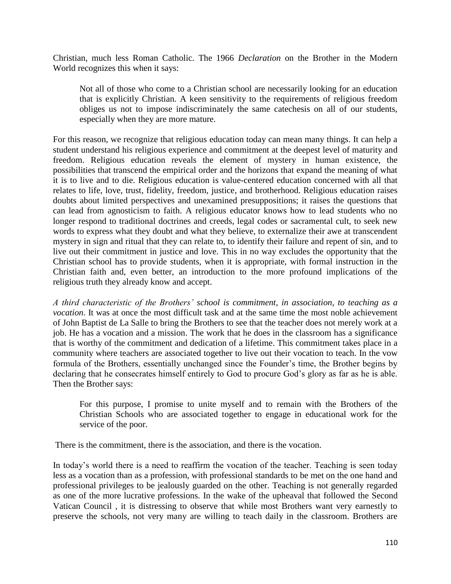Christian, much less Roman Catholic. The 1966 *Declaration* on the Brother in the Modern World recognizes this when it says:

Not all of those who come to a Christian school are necessarily looking for an education that is explicitly Christian. A keen sensitivity to the requirements of religious freedom obliges us not to impose indiscriminately the same catechesis on all of our students, especially when they are more mature.

For this reason, we recognize that religious education today can mean many things. It can help a student understand his religious experience and commitment at the deepest level of maturity and freedom. Religious education reveals the element of mystery in human existence, the possibilities that transcend the empirical order and the horizons that expand the meaning of what it is to live and to die. Religious education is value-centered education concerned with all that relates to life, love, trust, fidelity, freedom, justice, and brotherhood. Religious education raises doubts about limited perspectives and unexamined presuppositions; it raises the questions that can lead from agnosticism to faith. A religious educator knows how to lead students who no longer respond to traditional doctrines and creeds, legal codes or sacramental cult, to seek new words to express what they doubt and what they believe, to externalize their awe at transcendent mystery in sign and ritual that they can relate to, to identify their failure and repent of sin, and to live out their commitment in justice and love. This in no way excludes the opportunity that the Christian school has to provide students, when it is appropriate, with formal instruction in the Christian faith and, even better, an introduction to the more profound implications of the religious truth they already know and accept.

*A third characteristic of the Brothers' school is commitment, in association, to teaching as a vocation*. It was at once the most difficult task and at the same time the most noble achievement of John Baptist de La Salle to bring the Brothers to see that the teacher does not merely work at a job. He has a vocation and a mission. The work that he does in the classroom has a significance that is worthy of the commitment and dedication of a lifetime. This commitment takes place in a community where teachers are associated together to live out their vocation to teach. In the vow formula of the Brothers, essentially unchanged since the Founder's time, the Brother begins by declaring that he consecrates himself entirely to God to procure God's glory as far as he is able. Then the Brother says:

For this purpose, I promise to unite myself and to remain with the Brothers of the Christian Schools who are associated together to engage in educational work for the service of the poor.

There is the commitment, there is the association, and there is the vocation.

In today's world there is a need to reaffirm the vocation of the teacher. Teaching is seen today less as a vocation than as a profession, with professional standards to be met on the one hand and professional privileges to be jealously guarded on the other. Teaching is not generally regarded as one of the more lucrative professions. In the wake of the upheaval that followed the Second Vatican Council , it is distressing to observe that while most Brothers want very earnestly to preserve the schools, not very many are willing to teach daily in the classroom. Brothers are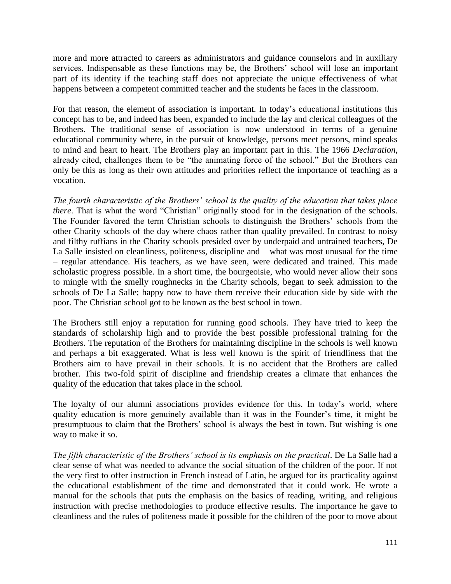more and more attracted to careers as administrators and guidance counselors and in auxiliary services. Indispensable as these functions may be, the Brothers' school will lose an important part of its identity if the teaching staff does not appreciate the unique effectiveness of what happens between a competent committed teacher and the students he faces in the classroom.

For that reason, the element of association is important. In today's educational institutions this concept has to be, and indeed has been, expanded to include the lay and clerical colleagues of the Brothers. The traditional sense of association is now understood in terms of a genuine educational community where, in the pursuit of knowledge, persons meet persons, mind speaks to mind and heart to heart. The Brothers play an important part in this. The 1966 *Declaration*, already cited, challenges them to be "the animating force of the school." But the Brothers can only be this as long as their own attitudes and priorities reflect the importance of teaching as a vocation.

*The fourth characteristic of the Brothers' school is the quality of the education that takes place there*. That is what the word "Christian" originally stood for in the designation of the schools. The Founder favored the term Christian schools to distinguish the Brothers' schools from the other Charity schools of the day where chaos rather than quality prevailed. In contrast to noisy and filthy ruffians in the Charity schools presided over by underpaid and untrained teachers, De La Salle insisted on cleanliness, politeness, discipline and – what was most unusual for the time – regular attendance. His teachers, as we have seen, were dedicated and trained. This made scholastic progress possible. In a short time, the bourgeoisie, who would never allow their sons to mingle with the smelly roughnecks in the Charity schools, began to seek admission to the schools of De La Salle; happy now to have them receive their education side by side with the poor. The Christian school got to be known as the best school in town.

The Brothers still enjoy a reputation for running good schools. They have tried to keep the standards of scholarship high and to provide the best possible professional training for the Brothers. The reputation of the Brothers for maintaining discipline in the schools is well known and perhaps a bit exaggerated. What is less well known is the spirit of friendliness that the Brothers aim to have prevail in their schools. It is no accident that the Brothers are called brother. This two-fold spirit of discipline and friendship creates a climate that enhances the quality of the education that takes place in the school.

The loyalty of our alumni associations provides evidence for this. In today's world, where quality education is more genuinely available than it was in the Founder's time, it might be presumptuous to claim that the Brothers' school is always the best in town. But wishing is one way to make it so.

*The fifth characteristic of the Brothers' school is its emphasis on the practical*. De La Salle had a clear sense of what was needed to advance the social situation of the children of the poor. If not the very first to offer instruction in French instead of Latin, he argued for its practicality against the educational establishment of the time and demonstrated that it could work. He wrote a manual for the schools that puts the emphasis on the basics of reading, writing, and religious instruction with precise methodologies to produce effective results. The importance he gave to cleanliness and the rules of politeness made it possible for the children of the poor to move about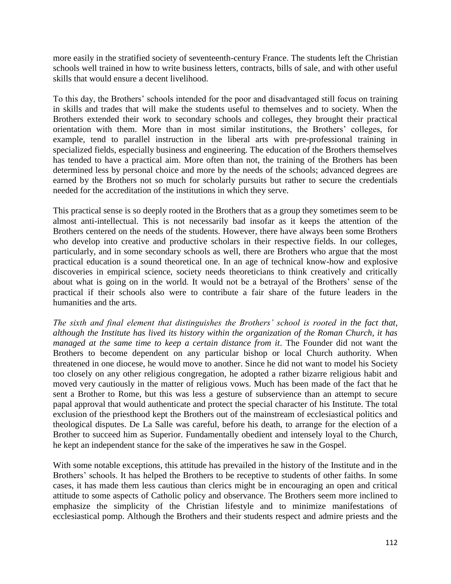more easily in the stratified society of seventeenth-century France. The students left the Christian schools well trained in how to write business letters, contracts, bills of sale, and with other useful skills that would ensure a decent livelihood.

To this day, the Brothers' schools intended for the poor and disadvantaged still focus on training in skills and trades that will make the students useful to themselves and to society. When the Brothers extended their work to secondary schools and colleges, they brought their practical orientation with them. More than in most similar institutions, the Brothers' colleges, for example, tend to parallel instruction in the liberal arts with pre-professional training in specialized fields, especially business and engineering. The education of the Brothers themselves has tended to have a practical aim. More often than not, the training of the Brothers has been determined less by personal choice and more by the needs of the schools; advanced degrees are earned by the Brothers not so much for scholarly pursuits but rather to secure the credentials needed for the accreditation of the institutions in which they serve.

This practical sense is so deeply rooted in the Brothers that as a group they sometimes seem to be almost anti-intellectual. This is not necessarily bad insofar as it keeps the attention of the Brothers centered on the needs of the students. However, there have always been some Brothers who develop into creative and productive scholars in their respective fields. In our colleges, particularly, and in some secondary schools as well, there are Brothers who argue that the most practical education is a sound theoretical one. In an age of technical know-how and explosive discoveries in empirical science, society needs theoreticians to think creatively and critically about what is going on in the world. It would not be a betrayal of the Brothers' sense of the practical if their schools also were to contribute a fair share of the future leaders in the humanities and the arts.

*The sixth and final element that distinguishes the Brothers' school is rooted in the fact that, although the Institute has lived its history within the organization of the Roman Church, it has managed at the same time to keep a certain distance from it.* The Founder did not want the Brothers to become dependent on any particular bishop or local Church authority. When threatened in one diocese, he would move to another. Since he did not want to model his Society too closely on any other religious congregation, he adopted a rather bizarre religious habit and moved very cautiously in the matter of religious vows. Much has been made of the fact that he sent a Brother to Rome, but this was less a gesture of subservience than an attempt to secure papal approval that would authenticate and protect the special character of his Institute. The total exclusion of the priesthood kept the Brothers out of the mainstream of ecclesiastical politics and theological disputes. De La Salle was careful, before his death, to arrange for the election of a Brother to succeed him as Superior. Fundamentally obedient and intensely loyal to the Church, he kept an independent stance for the sake of the imperatives he saw in the Gospel.

With some notable exceptions, this attitude has prevailed in the history of the Institute and in the Brothers' schools. It has helped the Brothers to be receptive to students of other faiths. In some cases, it has made them less cautious than clerics might be in encouraging an open and critical attitude to some aspects of Catholic policy and observance. The Brothers seem more inclined to emphasize the simplicity of the Christian lifestyle and to minimize manifestations of ecclesiastical pomp. Although the Brothers and their students respect and admire priests and the